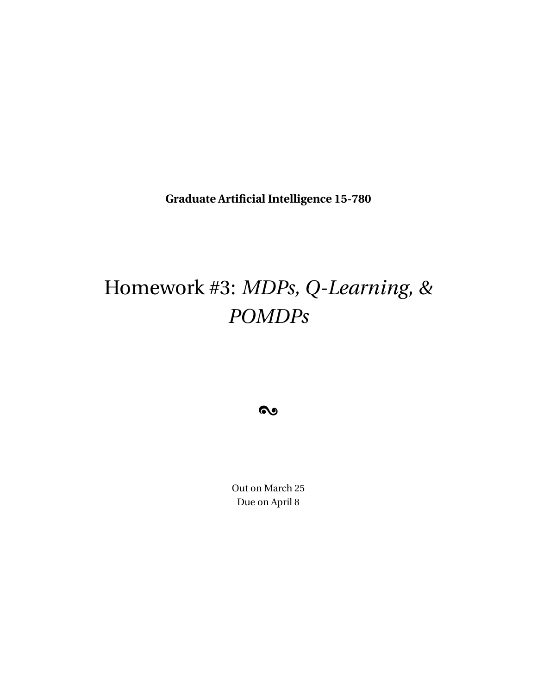**Graduate Artificial Intelligence 15-780**

# Homework #3: *MDPs, Q-Learning, & POMDPs*

 $\bullet$ 

Out on March 25 Due on April 8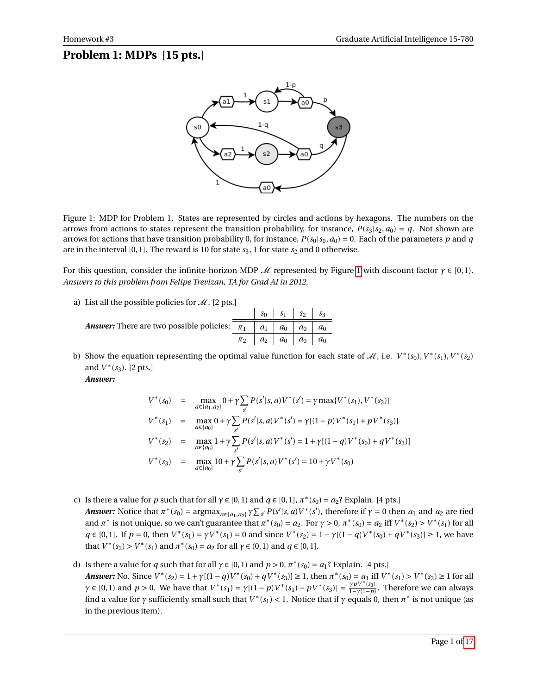## **Problem 1: MDPs [15 pts.]**



<span id="page-1-0"></span>Figure 1: MDP for Problem 1. States are represented by circles and actions by hexagons. The numbers on the arrows from actions to states represent the transition probability, for instance,  $P(s_3|s_2, a_0) = q$ . Not shown are arrows for actions that have transition probability 0, for instance,  $P(s_0|s_0, a_0) = 0$ . Each of the parameters *p* and *q* are in the interval  $[0, 1]$ . The reward is 10 for state  $s_3$ , 1 for state  $s_2$  and 0 otherwise.

For this question, consider the infinite-horizon MDP  $\mathcal M$  represented by Figure [1](#page-1-0) with discount factor  $\gamma \in [0,1)$ . *Answers to this problem from Felipe Trevizan, TA for Grad AI in 2012.*

a) List all the possible policies for  $\mathcal{M}$ . [2 pts.]

|                                                                                                                | $\parallel$ $s_0$ $\parallel$ $s_1$ $\parallel$ $s_2$ $\parallel$ $s_3$ |  |  |
|----------------------------------------------------------------------------------------------------------------|-------------------------------------------------------------------------|--|--|
| <b>Answer:</b> There are two possible policies: $\mathcal{L}_{\pi_1} \parallel a_1 \mid a_0 \mid a_0 \mid a_0$ |                                                                         |  |  |
|                                                                                                                | $\pi_2 \parallel a_2 \parallel a_0 \parallel a_0 \parallel a_0$         |  |  |

b) Show the equation representing the optimal value function for each state of  $\mathcal{M}$ , i.e.  $V^*(s_0)$ ,  $V^*(s_1)$ ,  $V^*(s_2)$ and  $V^*(s_3)$ . [2 pts.] *Answer:*

$$
V^*(s_0) = \max_{a \in \{a_1, a_2\}} 0 + \gamma \sum_{s'} P(s' | s, a) V^*(s') = \gamma \max \{V^*(s_1), V^*(s_2)\}
$$
  
\n
$$
V^*(s_1) = \max_{a \in \{a_0\}} 0 + \gamma \sum_{s'} P(s' | s, a) V^*(s') = \gamma [(1 - p) V^*(s_1) + p V^*(s_3)]
$$
  
\n
$$
V^*(s_2) = \max_{a \in \{a_0\}} 1 + \gamma \sum_{s'} P(s' | s, a) V^*(s') = 1 + \gamma [(1 - q) V^*(s_0) + q V^*(s_3)]
$$
  
\n
$$
V^*(s_3) = \max_{a \in \{a_0\}} 10 + \gamma \sum_{s'} P(s' | s, a) V^*(s') = 10 + \gamma V^*(s_0)
$$

- c) Is there a value for *p* such that for all  $\gamma \in [0, 1]$  and  $q \in [0, 1]$ ,  $\pi^*(s_0) = a_2$ ? Explain. [4 pts.] **Answer:** Notice that  $\pi^*(s_0) = \arg\max_{a \in \{a_1, a_2\}} \gamma \sum_{s'} P(s'|s, a) V^*(s')$ , therefore if  $\gamma = 0$  then  $a_1$  and  $a_2$  are tied and  $\pi^*$  is not unique, so we can't guarantee that  $\pi^*(s_0) = a_2$ . For  $\gamma > 0$ ,  $\pi^*(s_0) = a_2$  iff  $V^*(s_2) > V^*(s_1)$  for all  $q \in [0,1]$ . If  $p = 0$ , then  $V^*(s_1) = \gamma V^*(s_1) = 0$  and since  $V^*(s_2) = 1 + \gamma [(1 - q)V^*(s_0) + qV^*(s_3)] \ge 1$ , we have that  $V^*(s_2) > V^*(s_1)$  and  $\pi^*(s_0) = a_2$  for all  $\gamma \in (0, 1)$  and  $q \in [0, 1]$ .
- d) Is there a value for *q* such that for all  $\gamma \in [0, 1)$  and  $p > 0$ ,  $\pi^*(s_0) = a_1$ ? Explain. [4 pts.] Answer: No. Since  $V^*(s_2) = 1 + \gamma[(1-q)V^*(s_0) + qV^*(s_3)] \ge 1$ , then  $\pi^*(s_0) = a_1$  iff  $V^*(s_1) > V^*(s_2) \ge 1$  for all  $\gamma \in [0, 1)$  and  $p > 0$ . We have that  $V^*(s_1) = \gamma[(1 - p)V^*(s_1) + pV^*(s_3)] = \frac{\gamma pV^*(s_3)}{1 - \gamma(1 - p)}$ . Therefore we can always find a value for *γ* sufficiently small such that  $V^*(s_1) < 1$ . Notice that if *γ* equals 0, then  $\pi^*$  is not unique (as in the previous item).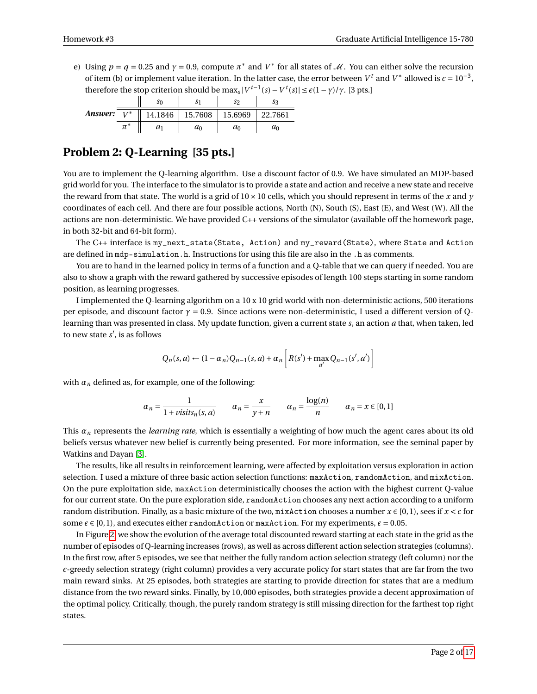e) Using  $p = q = 0.25$  and  $\gamma = 0.9$ , compute  $\pi^*$  and  $V^*$  for all states of M. You can either solve the recursion of item (b) or implement value iteration. In the latter case, the error between  $V^t$  and  $V^*$  allowed is  $\epsilon = 10^{-3}$ , therefore the stop criterion should be max<sub>*s*</sub>  $|V^{t-1}(s) - V^t(s)| \le \varepsilon (1 - \gamma)/\gamma$ . [3 pts.]

|               | So    | S                           | S2      | Sэ      |
|---------------|-------|-----------------------------|---------|---------|
| Answer: $V^*$ |       | 14.1846   15.7608   15.6969 |         | 22.7661 |
|               | $a_1$ | $a_0$                       | $\iota$ | $a_0$   |

## **Problem 2: Q-Learning [35 pts.]**

You are to implement the Q-learning algorithm. Use a discount factor of 0.9. We have simulated an MDP-based grid world for you. The interface to the simulator is to provide a state and action and receive a new state and receive the reward from that state. The world is a grid of  $10 \times 10$  cells, which you should represent in terms of the *x* and *y* coordinates of each cell. And there are four possible actions, North (N), South (S), East (E), and West (W). All the actions are non-deterministic. We have provided C++ versions of the simulator (available off the homework page, in both 32-bit and 64-bit form).

The C++ interface is my\_next\_state(State, Action) and my\_reward(State), where State and Action are defined in mdp-simulation.h. Instructions for using this file are also in the .h as comments.

You are to hand in the learned policy in terms of a function and a Q-table that we can query if needed. You are also to show a graph with the reward gathered by successive episodes of length 100 steps starting in some random position, as learning progresses.

I implemented the Q-learning algorithm on a 10 x 10 grid world with non-deterministic actions, 500 iterations per episode, and discount factor *γ* = 0.9. Since actions were non-deterministic, I used a different version of Qlearning than was presented in class. My update function, given a current state *s*, an action *a* that, when taken, led to new state  $s'$ , is as follows

$$
Q_n(s,a) \leftarrow (1-\alpha_n)Q_{n-1}(s,a) + \alpha_n \left[ R(s') + \max_{a'} Q_{n-1}(s',a') \right]
$$

with  $\alpha_n$  defined as, for example, one of the following:

$$
\alpha_n = \frac{1}{1 + \text{visits}_n(s, a)} \qquad \alpha_n = \frac{x}{y + n} \qquad \alpha_n = \frac{\log(n)}{n} \qquad \alpha_n = x \in [0, 1]
$$

This *α<sup>n</sup>* represents the *learning rate*, which is essentially a weighting of how much the agent cares about its old beliefs versus whatever new belief is currently being presented. For more information, see the seminal paper by Watkins and Dayan [\[3\]](#page-17-1).

The results, like all results in reinforcement learning, were affected by exploitation versus exploration in action selection. I used a mixture of three basic action selection functions: maxAction, randomAction, and mixAction. On the pure exploitation side, maxAction deterministically chooses the action with the highest current Q-value for our current state. On the pure exploration side, randomAction chooses any next action according to a uniform random distribution. Finally, as a basic mixture of the two, mixAction chooses a number  $x \in [0,1)$ , sees if  $x < \epsilon$  for some  $\epsilon \in [0, 1)$ , and executes either randomAction or maxAction. For my experiments,  $\epsilon = 0.05$ .

In Figure [2,](#page-3-0) we show the evolution of the average total discounted reward starting at each state in the grid as the number of episodes of Q-learning increases (rows), as well as across different action selection strategies (columns). In the first row, after 5 episodes, we see that neither the fully random action selection strategy (left column) nor the  $\epsilon$ -greedy selection strategy (right column) provides a very accurate policy for start states that are far from the two main reward sinks. At 25 episodes, both strategies are starting to provide direction for states that are a medium distance from the two reward sinks. Finally, by 10, 000 episodes, both strategies provide a decent approximation of the optimal policy. Critically, though, the purely random strategy is still missing direction for the farthest top right states.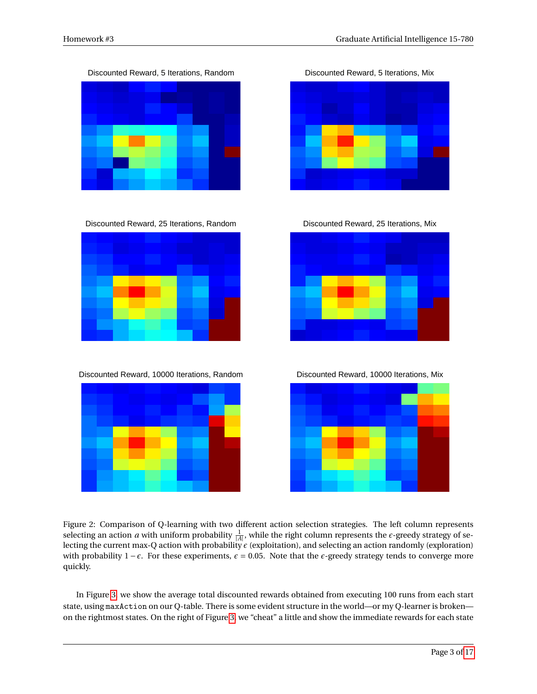Discounted Reward, 5 Iterations, Random Discounted Reward, 5 Iterations, Mix



Discounted Reward, 25 Iterations, Random Discounted Reward, 25 Iterations, Mix



Discounted Reward, 10000 Iterations, Random Discounted Reward, 10000 Iterations, Mix





<span id="page-3-0"></span>Figure 2: Comparison of Q-learning with two different action selection strategies. The left column represents selecting an action *a* with uniform probability  $\frac{1}{|A|}$ , while the right column represents the  $\epsilon$ -greedy strategy of selecting the current max-Q action with probability *²* (exploitation), and selecting an action randomly (exploration) with probability  $1 - \epsilon$ . For these experiments,  $\epsilon = 0.05$ . Note that the  $\epsilon$ -greedy strategy tends to converge more quickly.

In Figure [3,](#page-4-0) we show the average total discounted rewards obtained from executing 100 runs from each start state, using maxAction on our Q-table. There is some evident structure in the world—or my Q-learner is broken on the rightmost states. On the right of Figure [3,](#page-4-0) we "cheat" a little and show the immediate rewards for each state



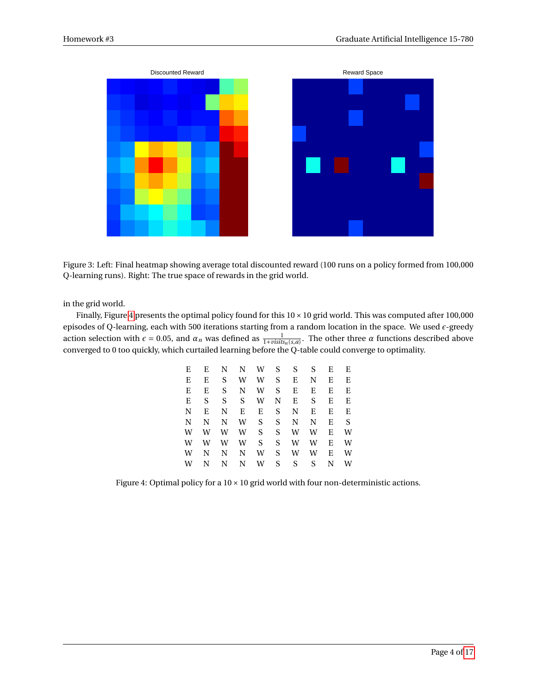

<span id="page-4-0"></span>Figure 3: Left: Final heatmap showing average total discounted reward (100 runs on a policy formed from 100,000 Q-learning runs). Right: The true space of rewards in the grid world.

in the grid world.

Finally, Figure [4](#page-4-1) presents the optimal policy found for this  $10 \times 10$  grid world. This was computed after 100,000 episodes of Q-learning, each with 500 iterations starting from a random location in the space. We used  $\epsilon$ -greedy action selection with  $\epsilon = 0.05$ , and  $\alpha_n$  was defined as  $\frac{1}{1+visits_n(s,a)}$ . The other three  $\alpha$  functions described above converged to 0 too quickly, which curtailed learning before the Q-table could converge to optimality.

| E | E | N. | N – | W  | S. | S. | S. | E | E |
|---|---|----|-----|----|----|----|----|---|---|
| Е | E | S  | W   | W  | S  | Е  | N  | E | Е |
| E | E | S  | N   | W  | S  | E  | E  | E | E |
| Ε | S | S  | S   | W  | N  | Ε  | S  | E | E |
| N | E | N  | E   | Ε  | S  | N  | E  | E | E |
| N | N | N  | W   | S  | S  | N  | N  | E | S |
| W | W | W  | W   | S. | S  | W  | W  | E | W |
| W | W | W  | W   | S  | S  | W  | W  | E | W |
| W | N | N  | N   | W  | S. | W  | W  | E | W |
| W | N | N  | N   | W  | S  | S  | S  | N | W |

<span id="page-4-1"></span>Figure 4: Optimal policy for a  $10 \times 10$  grid world with four non-deterministic actions.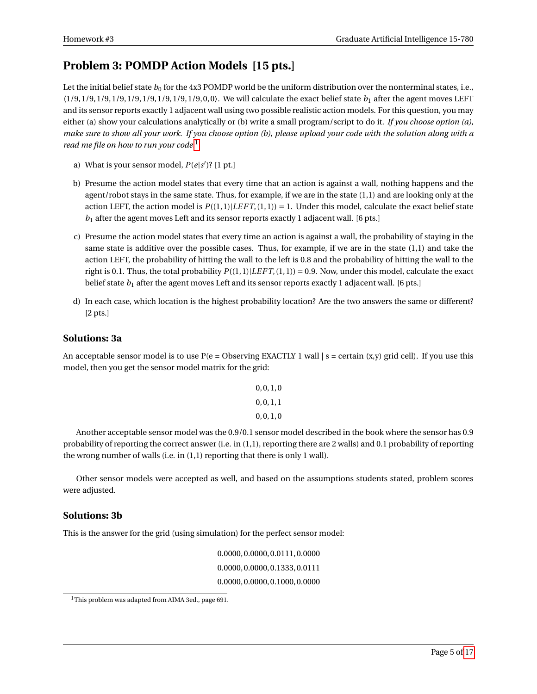## **Problem 3: POMDP Action Models [15 pts.]**

Let the initial belief state  $b_0$  for the 4x3 POMDP world be the uniform distribution over the nonterminal states, i.e., 〈1/9, 1/9, 1/9, 1/9, 1/9, 1/9, 1/9, 1/9, 1/9, 0, 0〉. We will calculate the exact belief state *b*<sup>1</sup> after the agent moves LEFT and its sensor reports exactly 1 adjacent wall using two possible realistic action models. For this question, you may either (a) show your calculations analytically or (b) write a small program/script to do it. *If you choose option (a), make sure to show all your work. If you choose option (b), please upload your code with the solution along with a read me file on how to run your code.*[1](#page-5-0)

- a) What is your sensor model,  $P(e|s')$ ? [1 pt.]
- b) Presume the action model states that every time that an action is against a wall, nothing happens and the agent/robot stays in the same state. Thus, for example, if we are in the state (1,1) and are looking only at the action LEFT, the action model is  $P((1,1)|LEFT, (1,1)) = 1$ . Under this model, calculate the exact belief state *b*<sup>1</sup> after the agent moves Left and its sensor reports exactly 1 adjacent wall. [6 pts.]
- c) Presume the action model states that every time an action is against a wall, the probability of staying in the same state is additive over the possible cases. Thus, for example, if we are in the state (1,1) and take the action LEFT, the probability of hitting the wall to the left is 0.8 and the probability of hitting the wall to the right is 0.1. Thus, the total probability *P*((1, 1)|*LEF T*, (1, 1)) = 0.9. Now, under this model, calculate the exact belief state *b*<sup>1</sup> after the agent moves Left and its sensor reports exactly 1 adjacent wall. [6 pts.]
- d) In each case, which location is the highest probability location? Are the two answers the same or different? [2 pts.]

#### **Solutions: 3a**

An acceptable sensor model is to use  $P(e = Ob$ serving EXACTLY 1 wall  $|s = c$ ertain  $(x,y)$  grid cell). If you use this model, then you get the sensor model matrix for the grid:

$$
0, 0, 1, 0 0, 0, 1, 1 0, 0, 1, 0
$$

Another acceptable sensor model was the 0.9/0.1 sensor model described in the book where the sensor has 0.9 probability of reporting the correct answer (i.e. in (1,1), reporting there are 2 walls) and 0.1 probability of reporting the wrong number of walls (i.e. in (1,1) reporting that there is only 1 wall).

Other sensor models were accepted as well, and based on the assumptions students stated, problem scores were adjusted.

#### **Solutions: 3b**

This is the answer for the grid (using simulation) for the perfect sensor model:

0.0000, 0.0000, 0.0111, 0.0000 0.0000, 0.0000, 0.1333, 0.0111 0.0000, 0.0000, 0.1000, 0.0000

<span id="page-5-0"></span><sup>&</sup>lt;sup>1</sup>This problem was adapted from AIMA 3ed., page 691.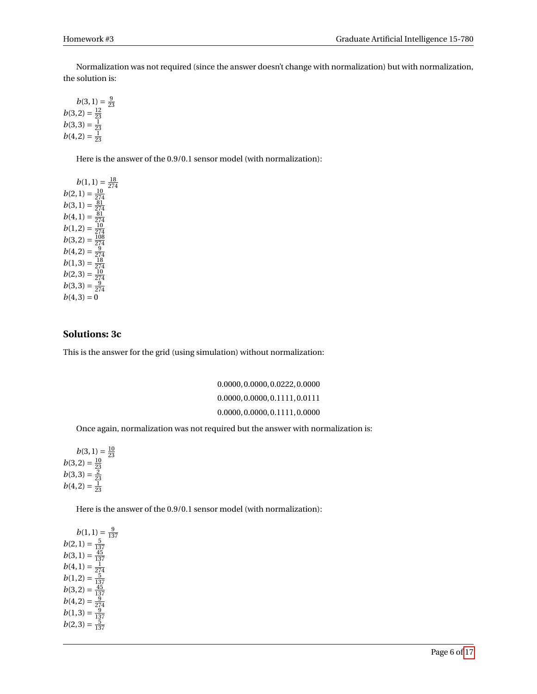Normalization was not required (since the answer doesn't change with normalization) but with normalization, the solution is:

 $b(3, 1) = \frac{9}{23}$  $b(3, 2) = \frac{12}{23}$ <br>  $b(3, 3) = \frac{1}{23}$ <br>  $b(4, 2) = \frac{1}{23}$ 

Here is the answer of the 0.9/0.1 sensor model (with normalization):

 $b(1,1) = \frac{18}{274}$ <br>  $b(2,1) = \frac{10}{274}$ <br>  $b(3,1) = \frac{81}{274}$ <br>  $b(4,1) = \frac{81}{274}$ <br>  $b(1,2) = \frac{10}{274}$ <br>  $b(1,2) = \frac{108}{274}$ <br>  $b(3,2) = \frac{18}{274}$ <br>  $b(4,2) = \frac{9}{274}$ <br>  $b(1,3) = \frac{18}{274}$ <br>  $b(2,3) = \frac{10}{274}$ <br>  $b(3,3) = \frac{$  $b(4, 3) = 0$ 

#### **Solutions: 3c**

This is the answer for the grid (using simulation) without normalization:

0.0000, 0.0000, 0.0222, 0.0000 0.0000, 0.0000, 0.1111, 0.0111 0.0000, 0.0000, 0.1111, 0.0000

Once again, normalization was not required but the answer with normalization is:

 $b(3, 1) = \frac{10}{23}$  $b(3,2) = \frac{10}{23}$ <br> $b(3,3) = \frac{2}{23}$  $b(4,2) = \frac{1}{23}$ 

Here is the answer of the 0.9/0.1 sensor model (with normalization):

*b*(2, 1) =  $\frac{9}{137}$ <br> *b*(3, 1) =  $\frac{45}{137}$ <br> *b*(4, 1) =  $\frac{1}{274}$ <br> *b*(1, 2) =  $\frac{5}{137}$ <br> *b*(3, 2) =  $\frac{45}{137}$ <br> *b*(4, 2) =  $\frac{9}{274}$ <br> *b*(1, 3) =  $\frac{9}{137}$ <br> *b*(2, 3) =  $\frac{1}{137}$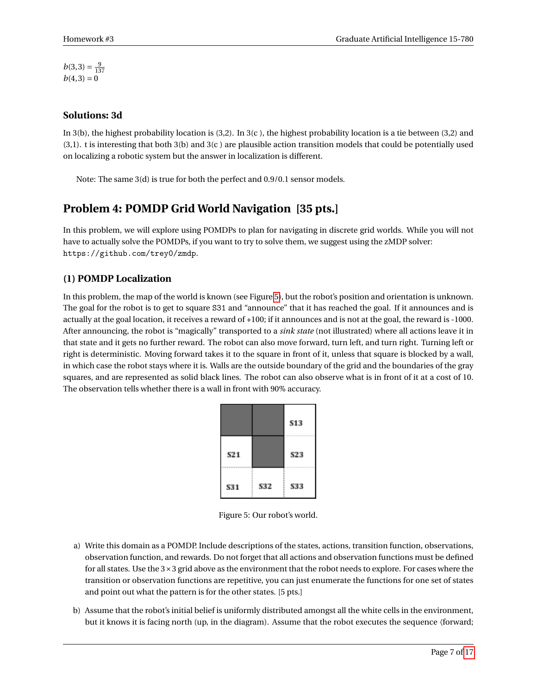$b(3,3) = \frac{9}{137}$  $b(4, 3) = 0$ 

#### **Solutions: 3d**

In 3(b), the highest probability location is (3,2). In 3(c ), the highest probability location is a tie between (3,2) and (3,1). t is interesting that both 3(b) and 3(c ) are plausible action transition models that could be potentially used on localizing a robotic system but the answer in localization is different.

Note: The same 3(d) is true for both the perfect and 0.9/0.1 sensor models.

## **Problem 4: POMDP Grid World Navigation [35 pts.]**

In this problem, we will explore using POMDPs to plan for navigating in discrete grid worlds. While you will not have to actually solve the POMDPs, if you want to try to solve them, we suggest using the zMDP solver: https://github.com/trey0/zmdp.

#### **(1) POMDP Localization**

In this problem, the map of the world is known (see Figure [5\)](#page-7-0), but the robot's position and orientation is unknown. The goal for the robot is to get to square S31 and "announce" that it has reached the goal. If it announces and is actually at the goal location, it receives a reward of +100; if it announces and is not at the goal, the reward is -1000. After announcing, the robot is "magically" transported to a *sink state* (not illustrated) where all actions leave it in that state and it gets no further reward. The robot can also move forward, turn left, and turn right. Turning left or right is deterministic. Moving forward takes it to the square in front of it, unless that square is blocked by a wall, in which case the robot stays where it is. Walls are the outside boundary of the grid and the boundaries of the gray squares, and are represented as solid black lines. The robot can also observe what is in front of it at a cost of 10. The observation tells whether there is a wall in front with 90% accuracy.

|            |     | 513 |
|------------|-----|-----|
| <b>S21</b> |     | S23 |
| <b>S31</b> | S32 | 533 |

<span id="page-7-0"></span>Figure 5: Our robot's world.

- a) Write this domain as a POMDP. Include descriptions of the states, actions, transition function, observations, observation function, and rewards. Do not forget that all actions and observation functions must be defined for all states. Use the 3×3 grid above as the environment that the robot needs to explore. For cases where the transition or observation functions are repetitive, you can just enumerate the functions for one set of states and point out what the pattern is for the other states. [5 pts.]
- <span id="page-7-1"></span>b) Assume that the robot's initial belief is uniformly distributed amongst all the white cells in the environment, but it knows it is facing north (up, in the diagram). Assume that the robot executes the sequence 〈forward;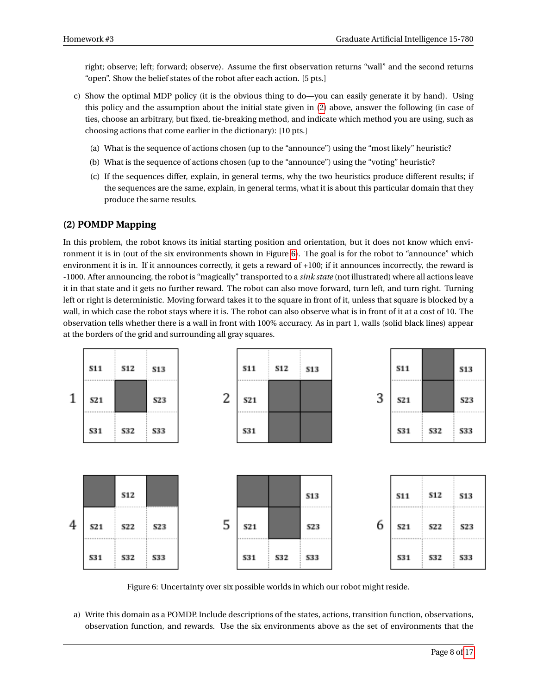right; observe; left; forward; observe〉. Assume the first observation returns "wall" and the second returns "open". Show the belief states of the robot after each action. [5 pts.]

- c) Show the optimal MDP policy (it is the obvious thing to do—you can easily generate it by hand). Using this policy and the assumption about the initial state given in [\(2\)](#page-7-1) above, answer the following (in case of ties, choose an arbitrary, but fixed, tie-breaking method, and indicate which method you are using, such as choosing actions that come earlier in the dictionary): [10 pts.]
	- (a) What is the sequence of actions chosen (up to the "announce") using the "most likely" heuristic?
	- (b) What is the sequence of actions chosen (up to the "announce") using the "voting" heuristic?
	- (c) If the sequences differ, explain, in general terms, why the two heuristics produce different results; if the sequences are the same, explain, in general terms, what it is about this particular domain that they produce the same results.

#### **(2) POMDP Mapping**

In this problem, the robot knows its initial starting position and orientation, but it does not know which environment it is in (out of the six environments shown in Figure [6\)](#page-8-0). The goal is for the robot to "announce" which environment it is in. If it announces correctly, it gets a reward of +100; if it announces incorrectly, the reward is -1000. After announcing, the robot is "magically" transported to a *sink state* (not illustrated) where all actions leave it in that state and it gets no further reward. The robot can also move forward, turn left, and turn right. Turning left or right is deterministic. Moving forward takes it to the square in front of it, unless that square is blocked by a wall, in which case the robot stays where it is. The robot can also observe what is in front of it at a cost of 10. The observation tells whether there is a wall in front with 100% accuracy. As in part 1, walls (solid black lines) appear at the borders of the grid and surrounding all gray squares.



<span id="page-8-0"></span>Figure 6: Uncertainty over six possible worlds in which our robot might reside.

a) Write this domain as a POMDP. Include descriptions of the states, actions, transition function, observations, observation function, and rewards. Use the six environments above as the set of environments that the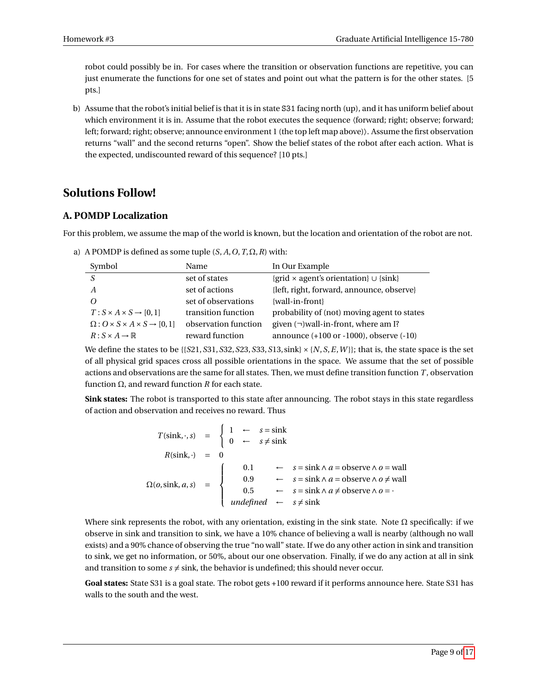robot could possibly be in. For cases where the transition or observation functions are repetitive, you can just enumerate the functions for one set of states and point out what the pattern is for the other states. [5 pts.]

b) Assume that the robot's initial belief is that it is in state S31 facing north (up), and it has uniform belief about which environment it is in. Assume that the robot executes the sequence  $\langle$  forward; right; observe; forward; left; forward; right; observe; announce environment 1 (the top left map above)〉. Assume the first observation returns "wall" and the second returns "open". Show the belief states of the robot after each action. What is the expected, undiscounted reward of this sequence? [10 pts.]

### **Solutions Follow!**

#### **A. POMDP Localization**

For this problem, we assume the map of the world is known, but the location and orientation of the robot are not.

a) A POMDP is defined as some tuple  $(S, A, O, T, \Omega, R)$  with:

| Symbol                                                   | Name                 | In Our Example                                        |
|----------------------------------------------------------|----------------------|-------------------------------------------------------|
|                                                          | set of states        | {grid $\times$ agent's orientation} $\cup$ {sink}     |
| A                                                        | set of actions       | {left, right, forward, announce, observe}             |
|                                                          | set of observations  | {wall-in-front}                                       |
| $T: S \times A \times S \rightarrow [0,1]$               | transition function  | probability of (not) moving agent to states           |
| $\Omega: O \times S \times A \times S \rightarrow [0,1]$ | observation function | given $(\neg)$ wall-in-front, where am I?             |
| $R: S \times A \rightarrow \mathbb{R}$                   | reward function      | announce $(+100 \text{ or } -1000)$ , observe $(-10)$ |

We define the states to be  $\{\{S21, S31, S32, S23, S33, S13, \text{sink}\} \times \{N, S, E, W\}\}$ ; that is, the state space is the set of all physical grid spaces cross all possible orientations in the space. We assume that the set of possible actions and observations are the same for all states. Then, we must define transition function *T* , observation function Ω, and reward function *R* for each state.

**Sink states:** The robot is transported to this state after announcing. The robot stays in this state regardless of action and observation and receives no reward. Thus

$$
T(\sin k, \cdot, s) = \begin{cases} 1 & \leftarrow & s = \sin k \\ 0 & \leftarrow & s \neq \sin k \end{cases}
$$
\n
$$
R(\sin k, \cdot) = 0
$$
\n
$$
\Omega(o, \sin k, a, s) = \begin{cases} 0.1 & \leftarrow & s = \sin k \land a = \text{observe} \land o = \text{wall} \\ 0.9 & \leftarrow & s = \sin k \land a = \text{observe} \land o \neq \text{wall} \\ 0.5 & \leftarrow & s = \sin k \land a \neq \text{observe} \land o = \cdot \end{cases}
$$
\n
$$
underfined \leftarrow s \neq \sin k
$$

Where sink represents the robot, with any orientation, existing in the sink state. Note  $\Omega$  specifically: if we observe in sink and transition to sink, we have a 10% chance of believing a wall is nearby (although no wall exists) and a 90% chance of observing the true "no wall" state. If we do any other action in sink and transition to sink, we get no information, or 50%, about our one observation. Finally, if we do any action at all in sink and transition to some  $s \neq \text{sink}$ , the behavior is undefined; this should never occur.

**Goal states:** State S31 is a goal state. The robot gets +100 reward if it performs announce here. State S31 has walls to the south and the west.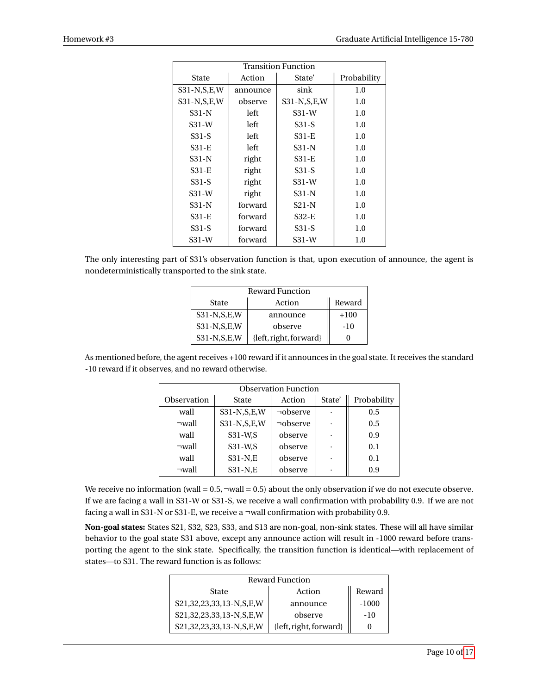| <b>Transition Function</b> |          |                |             |  |  |
|----------------------------|----------|----------------|-------------|--|--|
| State                      | Action   | State'         | Probability |  |  |
| $S31-N,S,E,W$              | announce | sink           | 1.0         |  |  |
| S31-N, S, E, W             | observe  | S31-N, S, E, W | 1.0         |  |  |
| S31-N                      | left     | $S31-W$        | 1.0         |  |  |
| $S31-W$                    | left     | S31-S          | 1.0         |  |  |
| $S31-S$                    | left     | S31-E          | 1.0         |  |  |
| S31-E                      | left     | $S31-N$        | 1.0         |  |  |
| S31-N                      | right    | $S31-E$        | 1.0         |  |  |
| S31-E                      | right    | S31-S          | 1.0         |  |  |
| S31-S                      | right    | $S31-W$        | 1.0         |  |  |
| $S31-W$                    | right    | $S31-N$        | 1.0         |  |  |
| $S31-N$                    | forward  | $S21-N$        | 1.0         |  |  |
| S31-E                      | forward  | S32-E          | 1.0         |  |  |
| S31-S                      | forward  | S31-S          | 1.0         |  |  |
| $S31-W$                    | forward  | $S31-W$        | 1.0         |  |  |

The only interesting part of S31's observation function is that, upon execution of announce, the agent is nondeterministically transported to the sink state.

| Reward Function |                        |        |  |  |
|-----------------|------------------------|--------|--|--|
| State           | Action                 | Reward |  |  |
| $S31-N,S,E,W$   | announce               | $+100$ |  |  |
| $S31-N,S,E,W$   | observe                | $-10$  |  |  |
| $S31-N,S,E,W$   | {left, right, forward} |        |  |  |

As mentioned before, the agent receives +100 reward if it announces in the goal state. It receives the standard -10 reward if it observes, and no reward otherwise.

| <b>Observation Function</b> |               |                |        |             |  |
|-----------------------------|---------------|----------------|--------|-------------|--|
| Observation                 | State         | Action         | State' | Probability |  |
| wall                        | $S31-N,S,E,W$ | $\neg$ observe |        | 0.5         |  |
| $\neg$ wall                 | $S31-N,S,E,W$ | $\neg$ observe |        | 0.5         |  |
| wall                        | S31-W,S       | observe        |        | 0.9         |  |
| $\neg$ wall                 | S31-W,S       | observe        |        | 0.1         |  |
| wall                        | S31-N,E       | observe        |        | 0.1         |  |
| $\neg$ wall                 | S31-N,E       | observe        |        | 0.9         |  |

We receive no information (wall =  $0.5$ ,  $\text{-}$ wall = 0.5) about the only observation if we do not execute observe. If we are facing a wall in S31-W or S31-S, we receive a wall confirmation with probability 0.9. If we are not facing a wall in S31-N or S31-E, we receive a ¬wall confirmation with probability 0.9.

**Non-goal states:** States S21, S32, S23, S33, and S13 are non-goal, non-sink states. These will all have similar behavior to the goal state S31 above, except any announce action will result in -1000 reward before transporting the agent to the sink state. Specifically, the transition function is identical—with replacement of states—to S31. The reward function is as follows:

| <b>Reward Function</b>  |                        |         |  |  |
|-------------------------|------------------------|---------|--|--|
| State                   | Action                 | Reward  |  |  |
| S21,32,23,33,13-N,S,E,W | announce               | $-1000$ |  |  |
| S21,32,23,33,13-N,S,E,W | observe                | $-10$   |  |  |
| S21,32,23,33,13-N,S,E,W | {left, right, forward} | 0       |  |  |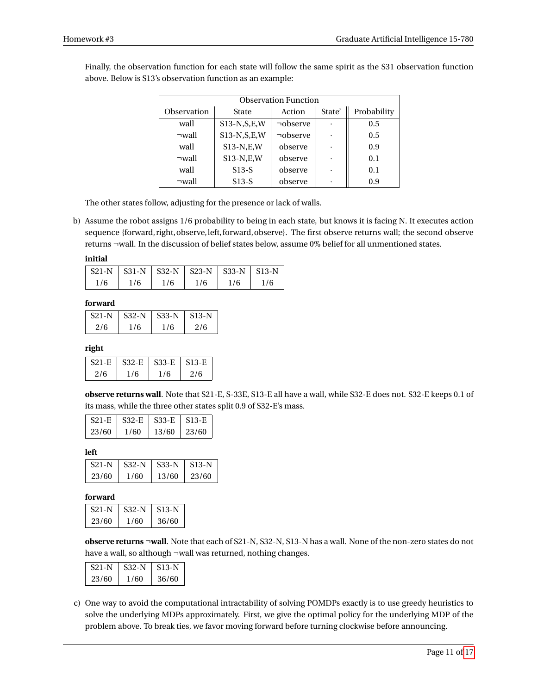| <b>Observation Function</b> |               |                |        |             |  |
|-----------------------------|---------------|----------------|--------|-------------|--|
| Observation                 | State         | Action         | State' | Probability |  |
| wall                        | $S13-N,S,E,W$ | $\neg$ observe |        | 0.5         |  |
| $\neg$ wall                 | $S13-N,S,E,W$ | $\neg$ observe |        | 0.5         |  |
| wall                        | $S13-N,E,W$   | observe        |        | 0.9         |  |
| $\neg$ wall                 | $S13-N,E,W$   | observe        |        | 0.1         |  |
| wall                        | $S13-S$       | observe        |        | 0.1         |  |
| $\neg$ wall                 | $S13-S$       | observe        |        | 0.9         |  |

Finally, the observation function for each state will follow the same spirit as the S31 observation function above. Below is S13's observation function as an example:

The other states follow, adjusting for the presence or lack of walls.

b) Assume the robot assigns 1/6 probability to being in each state, but knows it is facing N. It executes action sequence {forward, right, observe, left, forward, observe}. The first observe returns wall; the second observe returns ¬wall. In the discussion of belief states below, assume 0% belief for all unmentioned states.

**initial**

|     | $S21-N$   S31-N   S32-N   S23-N   S33-N   S13-N |     |     |     |     |
|-----|-------------------------------------------------|-----|-----|-----|-----|
| 1/6 | 1/6                                             | 1/6 | 1/6 | 1/6 | 1/6 |

#### **forward**

| <b>S21-N</b> | S32-N | S33-N | $\pm$ S13-N |
|--------------|-------|-------|-------------|
| 2/6          | 1/6   | 176   | 2/6         |

#### **right**

| $S21-E$ | $S32-E$ | $S33-E$ | S <sub>13</sub> -E |
|---------|---------|---------|--------------------|
| 2/6     | 176     | 1/6     | 2/6                |

**observe returns wall**. Note that S21-E, S-33E, S13-E all have a wall, while S32-E does not. S32-E keeps 0.1 of its mass, while the three other states split 0.9 of S32-E's mass.

| <b>S21-E</b> | – S32-E | <b>S33-E</b> | S13-E |
|--------------|---------|--------------|-------|
| 23/60        | 1/60    | 13/60        | 23/60 |

**left**

| $S21-N$ | $S32-N$ | $\mid$ S33-N | - S13-N |
|---------|---------|--------------|---------|
| 23/60   | 1/60    | 13/60        | 23/60   |

#### **forward**

| S21-N | S32-N | S13-N |
|-------|-------|-------|
| 23/60 | 1760- | 36/60 |

**observe returns** ¬**wall**. Note that each of S21-N, S32-N, S13-N has a wall. None of the non-zero states do not have a wall, so although ¬wall was returned, nothing changes.

| S21-N | $S32-N$ | $S13-N$ |
|-------|---------|---------|
| 23/60 | 1/60    | 36/60   |

c) One way to avoid the computational intractability of solving POMDPs exactly is to use greedy heuristics to solve the underlying MDPs approximately. First, we give the optimal policy for the underlying MDP of the problem above. To break ties, we favor moving forward before turning clockwise before announcing.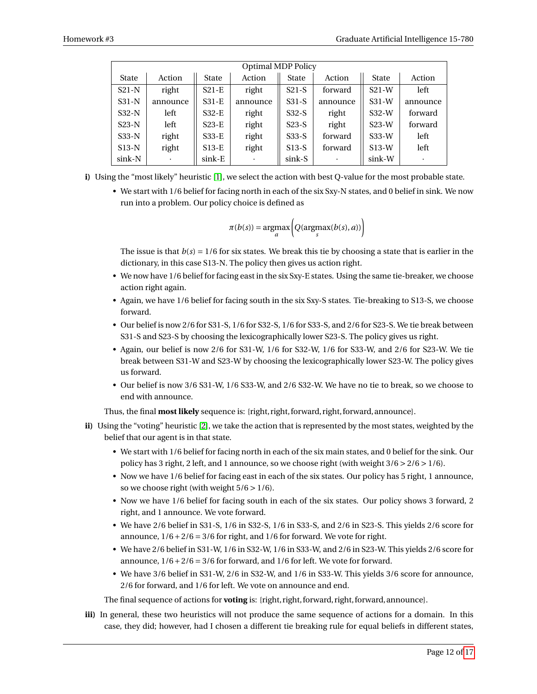|         | <b>Optimal MDP Policy</b> |         |          |              |          |              |          |  |
|---------|---------------------------|---------|----------|--------------|----------|--------------|----------|--|
| State   | Action                    | State   | Action   | <b>State</b> | Action   | <b>State</b> | Action   |  |
| $S21-N$ | right                     | $S21-E$ | right    | $S21-S$      | forward  | $S21-W$      | left     |  |
| $S31-N$ | announce                  | $S31-E$ | announce | $S31-S$      | announce | $S31-W$      | announce |  |
| $S32-N$ | left                      | $S32-E$ | right    | $S32-S$      | right    | $S32-W$      | forward  |  |
| $S23-N$ | left                      | $S23-E$ | right    | $S23-S$      | right    | $S23-W$      | forward  |  |
| $S33-N$ | right                     | S33-E   | right    | $S33-S$      | forward  | $S33-W$      | left     |  |
| $S13-N$ | right                     | $S13-E$ | right    | $S13-S$      | forward  | $S13-W$      | left     |  |
| sink-N  | $\bullet$                 | sink-E  |          | sink-S       | ٠        | sink-W       | ٠        |  |

- **i)** Using the "most likely" heuristic [\[1\]](#page-17-2), we select the action with best Q-value for the most probable state.
	- We start with 1/6 belief for facing north in each of the six Sxy-N states, and 0 belief in sink. We now run into a problem. Our policy choice is defined as

$$
\pi(b(s)) = \underset{a}{\operatorname{argmax}} \bigg(Q(\underset{s}{\operatorname{argmax}}(b(s), a))\bigg)
$$

The issue is that  $b(s) = 1/6$  for six states. We break this tie by choosing a state that is earlier in the dictionary, in this case S13-N. The policy then gives us action right.

- We now have 1/6 belief for facing east in the six Sxy-E states. Using the same tie-breaker, we choose action right again.
- Again, we have 1/6 belief for facing south in the six Sxy-S states. Tie-breaking to S13-S, we choose forward.
- Our belief is now 2/6 for S31-S, 1/6 for S32-S, 1/6 for S33-S, and 2/6 for S23-S. We tie break between S31-S and S23-S by choosing the lexicographically lower S23-S. The policy gives us right.
- Again, our belief is now 2/6 for S31-W, 1/6 for S32-W, 1/6 for S33-W, and 2/6 for S23-W. We tie break between S31-W and S23-W by choosing the lexicographically lower S23-W. The policy gives us forward.
- Our belief is now 3/6 S31-W, 1/6 S33-W, and 2/6 S32-W. We have no tie to break, so we choose to end with announce.

Thus, the final **most likely** sequence is: {right, right, forward, right, forward, announce}.

- **ii)** Using the "voting" heuristic [\[2\]](#page-17-3), we take the action that is represented by the most states, weighted by the belief that our agent is in that state.
	- We start with 1/6 belief for facing north in each of the six main states, and 0 belief for the sink. Our policy has 3 right, 2 left, and 1 announce, so we choose right (with weight  $3/6 > 2/6 > 1/6$ ).
	- Now we have 1/6 belief for facing east in each of the six states. Our policy has 5 right, 1 announce, so we choose right (with weight  $5/6 > 1/6$ ).
	- Now we have 1/6 belief for facing south in each of the six states. Our policy shows 3 forward, 2 right, and 1 announce. We vote forward.
	- We have 2/6 belief in S31-S, 1/6 in S32-S, 1/6 in S33-S, and 2/6 in S23-S. This yields 2/6 score for announce,  $1/6 + 2/6 = 3/6$  for right, and  $1/6$  for forward. We vote for right.
	- We have 2/6 belief in S31-W, 1/6 in S32-W, 1/6 in S33-W, and 2/6 in S23-W. This yields 2/6 score for announce,  $1/6 + 2/6 = 3/6$  for forward, and  $1/6$  for left. We vote for forward.
	- We have 3/6 belief in S31-W, 2/6 in S32-W, and 1/6 in S33-W. This yields 3/6 score for announce, 2/6 for forward, and 1/6 for left. We vote on announce and end.

The final sequence of actions for **voting** is: {right, right, forward, right, forward, announce}.

**iii)** In general, these two heuristics will not produce the same sequence of actions for a domain. In this case, they did; however, had I chosen a different tie breaking rule for equal beliefs in different states,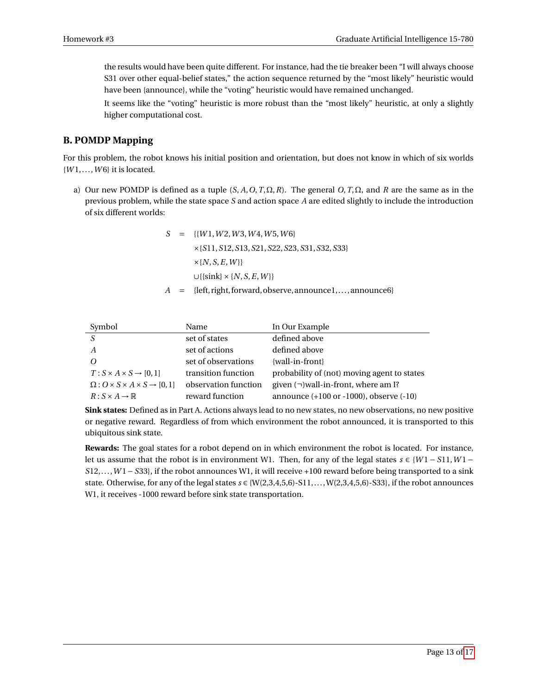the results would have been quite different. For instance, had the tie breaker been "I will always choose S31 over other equal-belief states," the action sequence returned by the "most likely" heuristic would have been {announce}, while the "voting" heuristic would have remained unchanged.

It seems like the "voting" heuristic is more robust than the "most likely" heuristic, at only a slightly higher computational cost.

#### **B. POMDP Mapping**

For this problem, the robot knows his initial position and orientation, but does not know in which of six worlds {*W* 1,...,*W* 6} it is located.

a) Our new POMDP is defined as a tuple  $(S, A, O, T, \Omega, R)$ . The general  $O, T, \Omega$ , and  $R$  are the same as in the previous problem, while the state space *S* and action space *A* are edited slightly to include the introduction of six different worlds:

$$
S = \{ \{W1, W2, W3, W4, W5, W6\} \times \{S11, S12, S13, S21, S22, S23, S31, S32, S33\} \times \{N, S, E, W\} \cup \{\{sink\} \times \{N, S, E, W\} \}
$$
  

$$
A = \{left, right, forward, observe, announced, ..., announced \}
$$

| Symbol                                                   | Name                 | In Our Example                                        |
|----------------------------------------------------------|----------------------|-------------------------------------------------------|
|                                                          | set of states        | defined above                                         |
| A                                                        | set of actions       | defined above                                         |
| Ω                                                        | set of observations  | {wall-in-front}                                       |
| $T: S \times A \times S \rightarrow [0,1]$               | transition function  | probability of (not) moving agent to states           |
| $\Omega: O \times S \times A \times S \rightarrow [0,1]$ | observation function | given $(\neg)$ wall-in-front, where am I?             |
| $R: S \times A \rightarrow \mathbb{R}$                   | reward function      | announce $(+100 \text{ or } -1000)$ , observe $(-10)$ |

**Sink states:** Defined as in Part A. Actions always lead to no new states, no new observations, no new positive or negative reward. Regardless of from which environment the robot announced, it is transported to this ubiquitous sink state.

**Rewards:** The goal states for a robot depend on in which environment the robot is located. For instance, let us assume that the robot is in environment W1. Then, for any of the legal states  $s \in \{W_1 - S_1\}$ ,  $W_1 -$ *S*12,...,*W* 1−*S*33}, if the robot announces W1, it will receive +100 reward before being transported to a sink state. Otherwise, for any of the legal states  $s \in \{W(2,3,4,5,6)$ -S11,...,  $W(2,3,4,5,6)$ -S33}, if the robot announces W1, it receives -1000 reward before sink state transportation.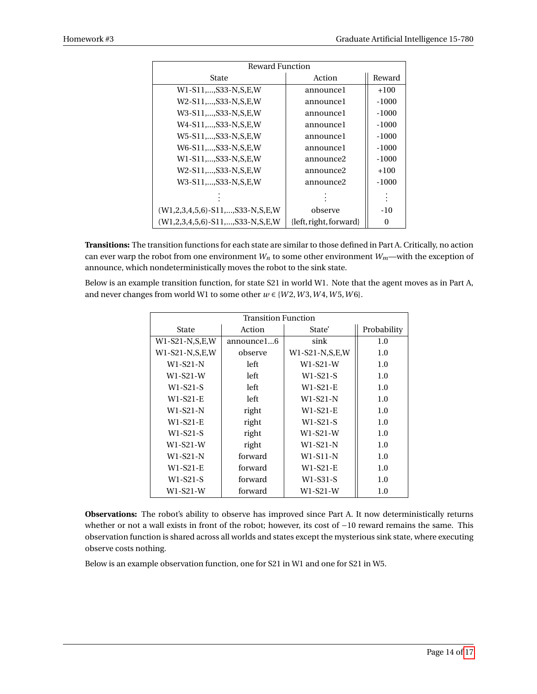| <b>Reward Function</b>                                |                            |         |  |  |  |
|-------------------------------------------------------|----------------------------|---------|--|--|--|
| State                                                 | Action                     | Reward  |  |  |  |
| W1-S11,,S33-N,S,E,W                                   | announcel                  | $+100$  |  |  |  |
| W2-S11S33-N.S.E.W                                     | announcel                  | $-1000$ |  |  |  |
| W3-S11,,S33-N,S,E,W                                   | announce1                  | $-1000$ |  |  |  |
| W4-S11,,S33-N,S,E,W                                   | announcel                  | $-1000$ |  |  |  |
| W5-S11,,S33-N,S,E,W                                   | announcel                  | $-1000$ |  |  |  |
| W6-S11,,S33-N,S,E,W                                   | announcel                  | $-1000$ |  |  |  |
| W1-S11,,S33-N,S,E,W                                   | announce <sub>2</sub>      | $-1000$ |  |  |  |
| W2-S11,,S33-N,S,E,W                                   | announce <sub>2</sub>      | $+100$  |  |  |  |
| W3-S11,,S33-N,S,E,W                                   | announce <sub>2</sub>      | $-1000$ |  |  |  |
|                                                       |                            |         |  |  |  |
| $(W1, 2, 3, 4, 5, 6) - S11, \ldots, S33 - N, S, E, W$ | observe                    | $-10$   |  |  |  |
| $(W1, 2, 3, 4, 5, 6) - S11, , S33 - N, S, E, W$       | $\{left, right, forward\}$ | 0       |  |  |  |

**Transitions:** The transition functions for each state are similar to those defined in Part A. Critically, no action can ever warp the robot from one environment  $W_n$  to some other environment  $W_m$ —with the exception of announce, which nondeterministically moves the robot to the sink state.

Below is an example transition function, for state S21 in world W1. Note that the agent moves as in Part A, and never changes from world W1 to some other  $w \in \{W2, W3, W4, W5, W6\}$ .

| <b>Transition Function</b> |            |                  |             |  |  |
|----------------------------|------------|------------------|-------------|--|--|
| State                      | Action     | State'           | Probability |  |  |
| $W1-S21-N,S,E,W$           | announce16 | sink             | 1.0         |  |  |
| $W1-S21-N,S,E,W$           | observe    | $W1-S21-N,S,E,W$ | 1.0         |  |  |
| W1-S21-N                   | left       | $W1-S21-W$       | 1.0         |  |  |
| $W1-S21-W$                 | left       | $W1-S21-S$       | 1.0         |  |  |
| $W1-S21-S$                 | left       | W1-S21-E         | 1.0         |  |  |
| $W1-S21-E$                 | left       | W1-S21-N         | 1.0         |  |  |
| W1-S21-N                   | right      | W1-S21-E         | 1.0         |  |  |
| $W1-S21-E$                 | right      | $W1-S21-S$       | 1.0         |  |  |
| $W1-S21-S$                 | right      | $W1-S21-W$       | 1.0         |  |  |
| $W1-S21-W$                 | right      | W1-S21-N         | 1.0         |  |  |
| W1-S21-N                   | forward    | W1-S11-N         | 1.0         |  |  |
| W1-S21-E                   | forward    | W1-S21-E         | 1.0         |  |  |
| $W1-S21-S$                 | forward    | W1-S31-S         | 1.0         |  |  |
| W1-S21-W                   | forward    | $W1-S21-W$       | 1.0         |  |  |

**Observations:** The robot's ability to observe has improved since Part A. It now deterministically returns whether or not a wall exists in front of the robot; however, its cost of −10 reward remains the same. This observation function is shared across all worlds and states except the mysterious sink state, where executing observe costs nothing.

Below is an example observation function, one for S21 in W1 and one for S21 in W5.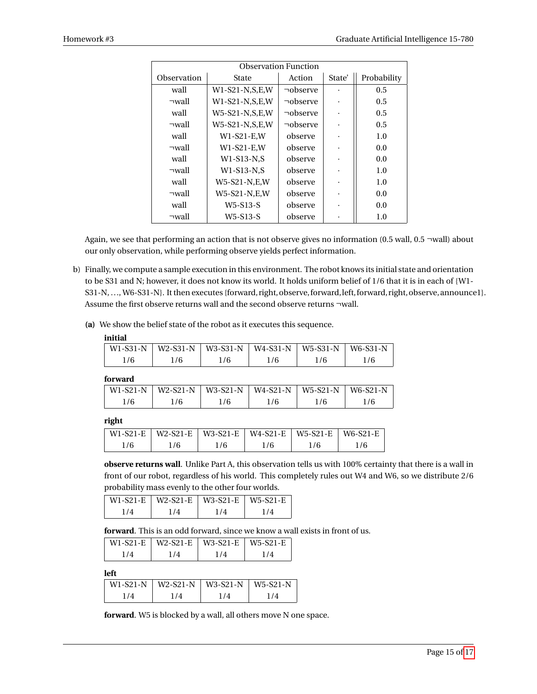| <b>Observation Function</b> |                  |                |           |             |  |  |  |
|-----------------------------|------------------|----------------|-----------|-------------|--|--|--|
| Observation                 | State            | Action         | State'    | Probability |  |  |  |
| wall                        | $W1-S21-N,S,E,W$ | $\neg$ observe | $\bullet$ | 0.5         |  |  |  |
| $\neg$ wall                 | $W1-S21-N,S,E,W$ | $\neg$ observe | $\bullet$ | 0.5         |  |  |  |
| wall                        | $W5-S21-N,S,E,W$ | $\neg$ observe | $\bullet$ | 0.5         |  |  |  |
| $\neg$ wall                 | $W5-S21-N,S,E,W$ | $\neg$ observe | $\bullet$ | 0.5         |  |  |  |
| wall                        | $W1-S21-E,W$     | observe        |           | 1.0         |  |  |  |
| $\neg$ wall                 | $W1-S21-E,W$     | observe        | $\bullet$ | 0.0         |  |  |  |
| wall                        | $W1-S13-N.S$     | observe        | $\bullet$ | 0.0         |  |  |  |
| $\neg$ wall                 | $W1-S13-N,S$     | observe        | $\bullet$ | 1.0         |  |  |  |
| wall                        | W5-S21-N,E,W     | observe        | $\bullet$ | 1.0         |  |  |  |
| $\neg$ wall                 | W5-S21-N,E,W     | observe        | $\bullet$ | 0.0         |  |  |  |
| wall                        | $W5-S13-S$       | observe        | ٠         | 0.0         |  |  |  |
| $\neg$ wall                 | $W5-S13-S$       | observe        | $\bullet$ | 1.0         |  |  |  |

Again, we see that performing an action that is not observe gives no information (0.5 wall, 0.5 ¬wall) about our only observation, while performing observe yields perfect information.

- b) Finally, we compute a sample execution in this environment. The robot knows its initial state and orientation to be S31 and N; however, it does not know its world. It holds uniform belief of 1/6 that it is in each of {W1- S31-N, ..., W6-S31-N}. It then executes {forward, right, observe, forward, left, forward, right, observe, announce1}. Assume the first observe returns wall and the second observe returns ¬wall.
	- **(a)** We show the belief state of the robot as it executes this sequence.

#### **initial**

| W1-S31-N   W2-S31-N   W3-S31-N   W4-S31-N   W5-S31-N   W6-S31-N |      |      |     |     |     |
|-----------------------------------------------------------------|------|------|-----|-----|-----|
| 176                                                             | 176. | 176. | 176 | 1/6 | 176 |

**forward**

| W1-S21-N   W2-S21-N   W3-S21-N   W4-S21-N   W5-S21-N   W6-S21-N  <br>176<br>176<br>176<br>1/6 |  |  |  |
|-----------------------------------------------------------------------------------------------|--|--|--|
|                                                                                               |  |  |  |
|                                                                                               |  |  |  |

**right**

|     |     |     | W1-S21-E   W2-S21-E   W3-S21-E   W4-S21-E   W5-S21-E   W6-S21-E |     |     |
|-----|-----|-----|-----------------------------------------------------------------|-----|-----|
| 1/6 | 176 | 1/6 | 1/6                                                             | 176 | 1/6 |

**observe returns wall**. Unlike Part A, this observation tells us with 100% certainty that there is a wall in front of our robot, regardless of his world. This completely rules out W4 and W6, so we distribute 2/6 probability mass evenly to the other four worlds.

|       |     | W1-S21-E   W2-S21-E   W3-S21-E   W5-S21-E |     |
|-------|-----|-------------------------------------------|-----|
| 1 / 4 | 1/4 | 1/4                                       | 1/4 |

**forward**. This is an odd forward, since we know a wall exists in front of us.

|       |     | W1-S21-E   W2-S21-E   W3-S21-E   W5-S21-E |     |
|-------|-----|-------------------------------------------|-----|
| 1 / 4 | 174 | 1/4                                       | 174 |

**left**

|            |    | $W1-S21-N$   $W2-S21-N$   $W3-S21-N$   $W5-S21-N$ |  |
|------------|----|---------------------------------------------------|--|
| $\sqrt{4}$ | 74 | 74                                                |  |

**forward**. W5 is blocked by a wall, all others move N one space.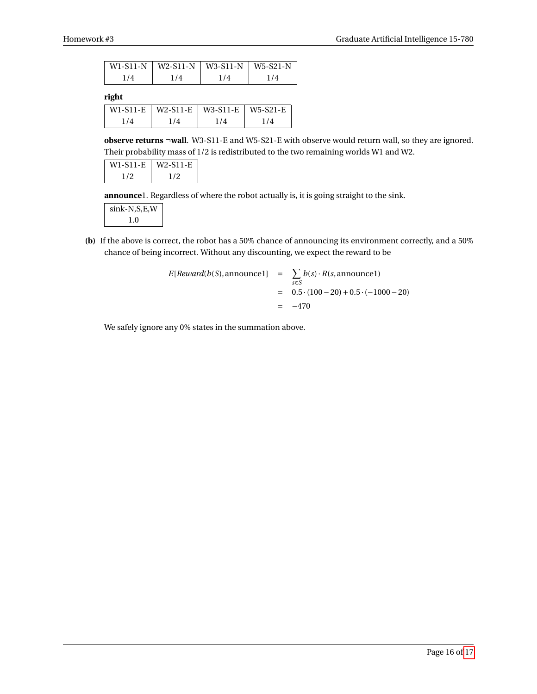|     |     | $ $ W1-S11-N $ $ W2-S11-N $ $ W3-S11-N $ $ W5-S21-N |     |
|-----|-----|-----------------------------------------------------|-----|
| 1/4 | 1/4 | 1/4                                                 | 1/4 |

**right**

|       |     | $W1-S11-E$   W2-S11-E   W3-S11-E   W5-S21-E |     |
|-------|-----|---------------------------------------------|-----|
| 1 / 4 | 174 | 174                                         | 1/4 |

**observe returns** ¬**wall**. W3-S11-E and W5-S21-E with observe would return wall, so they are ignored. Their probability mass of 1/2 is redistributed to the two remaining worlds W1 and W2.

| W1-S11-E | W <sub>2</sub> -S <sub>11</sub> -E |
|----------|------------------------------------|
| 172      | 172                                |

**announce**1. Regardless of where the robot actually is, it is going straight to the sink.

| sink-N,S,E,W |
|--------------|
| 1.0          |

**(b)** If the above is correct, the robot has a 50% chance of announcing its environment correctly, and a 50% chance of being incorrect. Without any discounting, we expect the reward to be

$$
E[Reward(b(S), announced] = \sum_{s \in S} b(s) \cdot R(s, announced)
$$
  
= 0.5 \cdot (100 - 20) + 0.5 \cdot (-1000 - 20)  
= -470

We safely ignore any 0% states in the summation above.